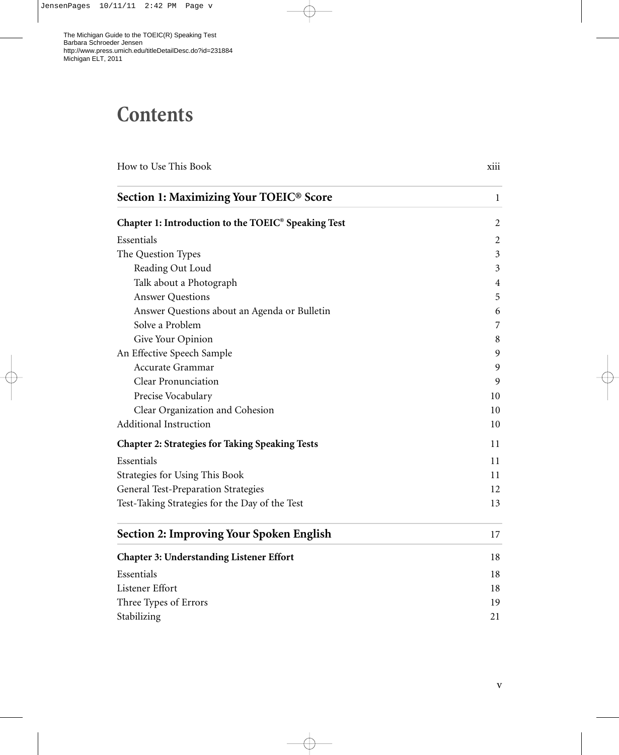## **Contents**

| How to Use This Book                                   | xiii           |
|--------------------------------------------------------|----------------|
| Section 1: Maximizing Your TOEIC® Score                | $\mathbf{1}$   |
| Chapter 1: Introduction to the TOEIC® Speaking Test    | $\overline{2}$ |
| Essentials                                             | 2              |
| The Question Types                                     | 3              |
| Reading Out Loud                                       | 3              |
| Talk about a Photograph                                | 4              |
| <b>Answer Questions</b>                                | 5              |
| Answer Questions about an Agenda or Bulletin           | 6              |
| Solve a Problem                                        | 7              |
| Give Your Opinion                                      | 8              |
| An Effective Speech Sample                             | 9              |
| Accurate Grammar                                       | 9              |
| Clear Pronunciation                                    | 9              |
| Precise Vocabulary                                     | 10             |
| Clear Organization and Cohesion                        | 10             |
| <b>Additional Instruction</b>                          | 10             |
| <b>Chapter 2: Strategies for Taking Speaking Tests</b> | 11             |
| Essentials                                             | 11             |
| Strategies for Using This Book                         | 11             |
| General Test-Preparation Strategies                    | 12             |
| Test-Taking Strategies for the Day of the Test         | 13             |
| <b>Section 2: Improving Your Spoken English</b>        | 17             |
| <b>Chapter 3: Understanding Listener Effort</b>        | 18             |
| Essentials                                             | 18             |
| Listener Effort                                        | 18             |
| Three Types of Errors                                  | 19             |
| Stabilizing                                            | 21             |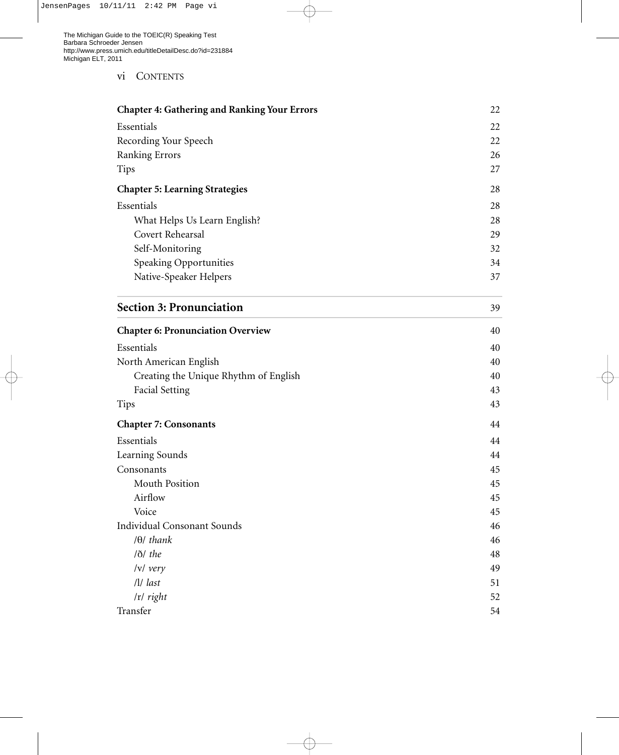## vi CONTENTS

| <b>Chapter 4: Gathering and Ranking Your Errors</b> | 22 |
|-----------------------------------------------------|----|
| Essentials                                          | 22 |
| Recording Your Speech                               | 22 |
| Ranking Errors                                      | 26 |
| <b>Tips</b>                                         | 27 |
| <b>Chapter 5: Learning Strategies</b>               | 28 |
| Essentials                                          | 28 |
| What Helps Us Learn English?                        | 28 |
| Covert Rehearsal                                    | 29 |
| Self-Monitoring                                     | 32 |
| Speaking Opportunities                              | 34 |
| Native-Speaker Helpers                              | 37 |

| <b>Section 3: Pronunciation</b> |  |
|---------------------------------|--|
|                                 |  |

| <b>Chapter 6: Pronunciation Overview</b> | 40 |
|------------------------------------------|----|
| Essentials                               | 40 |
| North American English                   | 40 |
| Creating the Unique Rhythm of English    | 40 |
| <b>Facial Setting</b>                    | 43 |
| <b>Tips</b>                              | 43 |
| <b>Chapter 7: Consonants</b>             | 44 |
| Essentials                               | 44 |
| Learning Sounds                          | 44 |
| Consonants                               | 45 |
| Mouth Position                           | 45 |
| Airflow                                  | 45 |
| Voice                                    | 45 |
| <b>Individual Consonant Sounds</b>       | 46 |
| $\theta$ thank                           | 46 |
| $ \delta $ the                           | 48 |
| $ v $ very                               | 49 |
| $\frac{1}{1}$ last                       | 51 |
| $ r $ right                              | 52 |
| Transfer                                 | 54 |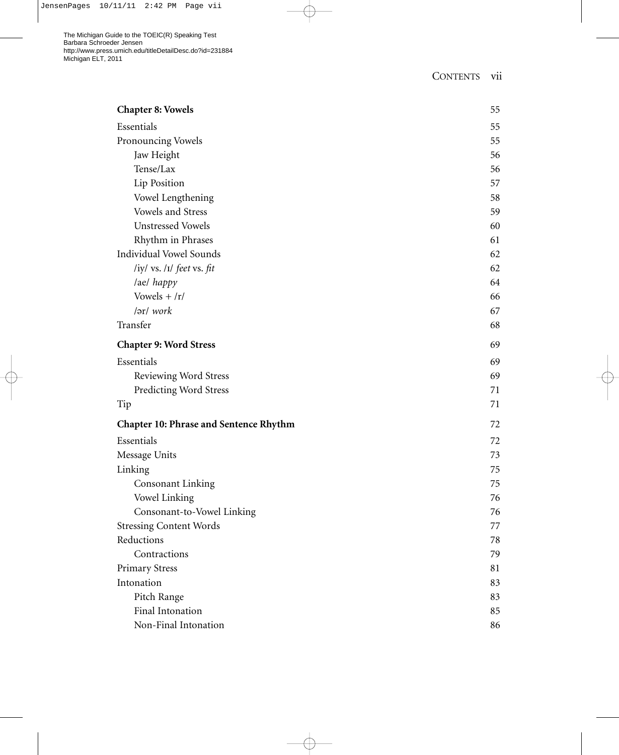The Michigan Guide to the TOEIC(R) Speaking Test Barbara Schroeder Jensen http://www.press.umich.edu/titleDetailDesc.do?id=231884 Michigan ELT, 2011

| <b>Chapter 8: Vowels</b>                      | 55 |
|-----------------------------------------------|----|
| Essentials                                    | 55 |
| Pronouncing Vowels                            | 55 |
| Jaw Height                                    | 56 |
| Tense/Lax                                     | 56 |
| Lip Position                                  | 57 |
| Vowel Lengthening                             | 58 |
| Vowels and Stress                             | 59 |
| <b>Unstressed Vowels</b>                      | 60 |
| Rhythm in Phrases                             | 61 |
| <b>Individual Vowel Sounds</b>                | 62 |
| /iy/ vs. /I/ feet vs. fit                     | 62 |
| /ae/ happy                                    | 64 |
| Vowels $+ /r/$                                | 66 |
| /ər/ work                                     | 67 |
| Transfer                                      | 68 |
| <b>Chapter 9: Word Stress</b>                 | 69 |
| Essentials                                    | 69 |
| Reviewing Word Stress                         | 69 |
| <b>Predicting Word Stress</b>                 | 71 |
| Tip                                           | 71 |
| <b>Chapter 10: Phrase and Sentence Rhythm</b> | 72 |
| Essentials                                    | 72 |
| Message Units                                 | 73 |
| Linking                                       | 75 |
| Consonant Linking                             | 75 |
| Vowel Linking                                 | 76 |
| Consonant-to-Vowel Linking                    | 76 |
| <b>Stressing Content Words</b>                | 77 |
| Reductions                                    | 78 |
| Contractions                                  | 79 |
| <b>Primary Stress</b>                         | 81 |
| Intonation                                    | 83 |
| Pitch Range                                   | 83 |
| Final Intonation                              | 85 |
| Non-Final Intonation                          | 86 |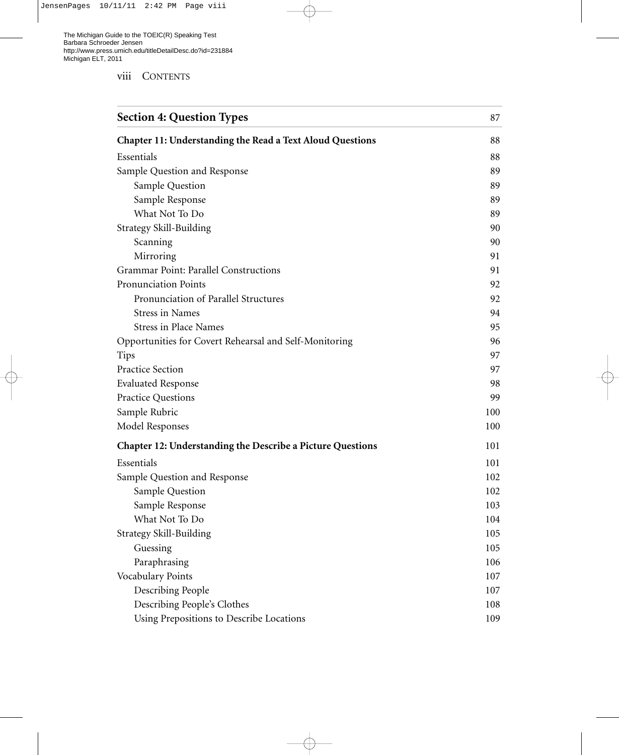viii CONTENTS

| <b>Section 4: Question Types</b>                                  | 87  |
|-------------------------------------------------------------------|-----|
| <b>Chapter 11: Understanding the Read a Text Aloud Questions</b>  | 88  |
| Essentials                                                        | 88  |
| Sample Question and Response                                      | 89  |
| Sample Question                                                   | 89  |
| Sample Response                                                   | 89  |
| What Not To Do                                                    | 89  |
| <b>Strategy Skill-Building</b>                                    | 90  |
| Scanning                                                          | 90  |
| Mirroring                                                         | 91  |
| Grammar Point: Parallel Constructions                             | 91  |
| Pronunciation Points                                              | 92  |
| Pronunciation of Parallel Structures                              | 92  |
| <b>Stress in Names</b>                                            | 94  |
| <b>Stress in Place Names</b>                                      | 95  |
| Opportunities for Covert Rehearsal and Self-Monitoring            | 96  |
| <b>Tips</b>                                                       | 97  |
| <b>Practice Section</b>                                           | 97  |
| <b>Evaluated Response</b>                                         | 98  |
| <b>Practice Questions</b>                                         | 99  |
| Sample Rubric                                                     | 100 |
| Model Responses                                                   | 100 |
| <b>Chapter 12: Understanding the Describe a Picture Questions</b> | 101 |
| Essentials                                                        | 101 |
| Sample Question and Response                                      | 102 |
| Sample Question                                                   | 102 |
| Sample Response                                                   | 103 |
| What Not To Do                                                    | 104 |
| <b>Strategy Skill-Building</b>                                    | 105 |
| Guessing                                                          | 105 |
| Paraphrasing                                                      | 106 |
| Vocabulary Points                                                 | 107 |
| Describing People                                                 | 107 |
| Describing People's Clothes                                       | 108 |
| Using Prepositions to Describe Locations                          | 109 |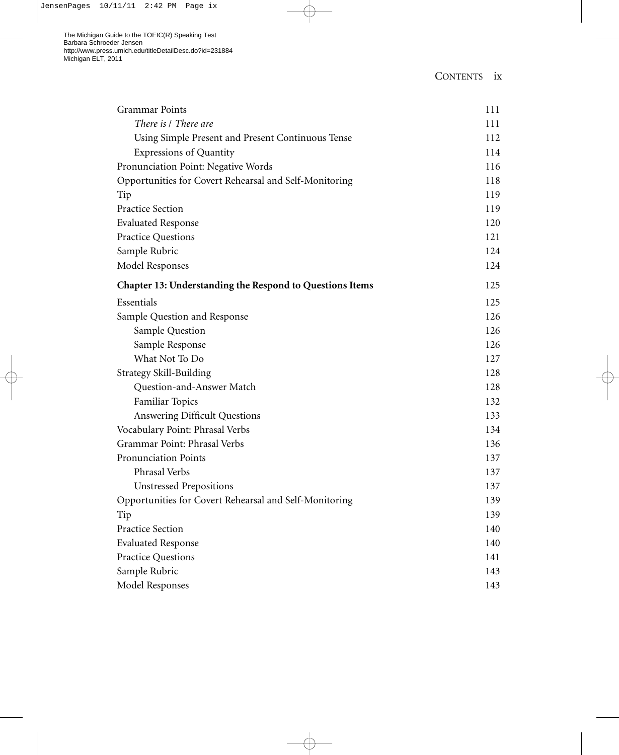| <b>Grammar Points</b>                                    | 111 |
|----------------------------------------------------------|-----|
| There is / There are                                     | 111 |
| Using Simple Present and Present Continuous Tense        | 112 |
| <b>Expressions of Quantity</b>                           | 114 |
| Pronunciation Point: Negative Words                      | 116 |
| Opportunities for Covert Rehearsal and Self-Monitoring   | 118 |
| Tip                                                      | 119 |
| <b>Practice Section</b>                                  | 119 |
| <b>Evaluated Response</b>                                | 120 |
| <b>Practice Questions</b>                                | 121 |
| Sample Rubric                                            | 124 |
| <b>Model Responses</b>                                   | 124 |
| Chapter 13: Understanding the Respond to Questions Items | 125 |
| Essentials                                               | 125 |
| Sample Question and Response                             | 126 |
| Sample Question                                          | 126 |
| Sample Response                                          | 126 |
| What Not To Do                                           | 127 |
| <b>Strategy Skill-Building</b>                           | 128 |
| Question-and-Answer Match                                | 128 |
| Familiar Topics                                          | 132 |
| Answering Difficult Questions                            | 133 |
| Vocabulary Point: Phrasal Verbs                          | 134 |
| Grammar Point: Phrasal Verbs                             | 136 |
| Pronunciation Points                                     | 137 |
| Phrasal Verbs                                            | 137 |
| <b>Unstressed Prepositions</b>                           | 137 |
| Opportunities for Covert Rehearsal and Self-Monitoring   | 139 |
| Tip                                                      | 139 |
| <b>Practice Section</b>                                  | 140 |
| <b>Evaluated Response</b>                                | 140 |
| <b>Practice Questions</b>                                | 141 |
| Sample Rubric                                            | 143 |
| Model Responses                                          | 143 |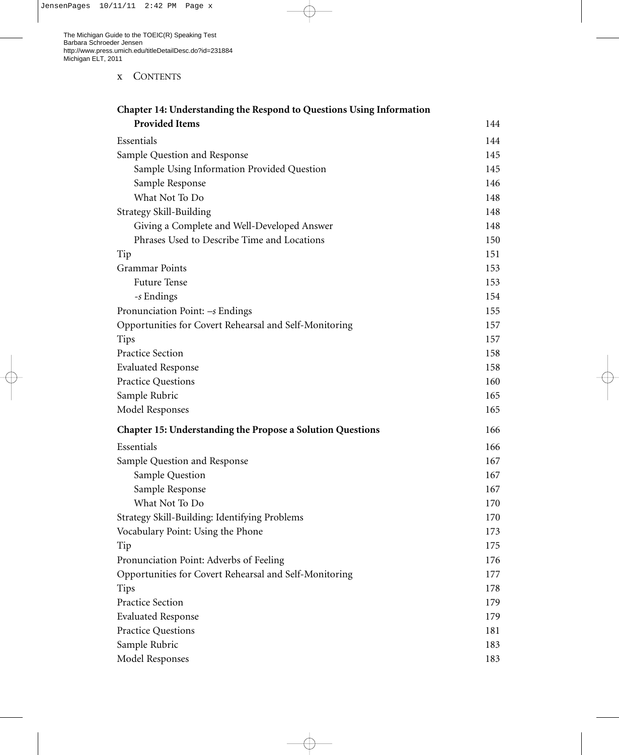x CONTENTS

| Chapter 14: Understanding the Respond to Questions Using Information |     |
|----------------------------------------------------------------------|-----|
| <b>Provided Items</b>                                                | 144 |
| Essentials                                                           | 144 |
| Sample Question and Response                                         | 145 |
| Sample Using Information Provided Question                           | 145 |
| Sample Response                                                      | 146 |
| What Not To Do                                                       | 148 |
| Strategy Skill-Building                                              | 148 |
| Giving a Complete and Well-Developed Answer                          | 148 |
| Phrases Used to Describe Time and Locations                          | 150 |
| Tip                                                                  | 151 |
| <b>Grammar Points</b>                                                | 153 |
| <b>Future Tense</b>                                                  | 153 |
| -s Endings                                                           | 154 |
| Pronunciation Point: $-s$ Endings                                    | 155 |
| Opportunities for Covert Rehearsal and Self-Monitoring               | 157 |
| Tips                                                                 | 157 |
| Practice Section                                                     | 158 |
| <b>Evaluated Response</b>                                            | 158 |
| <b>Practice Questions</b>                                            | 160 |
| Sample Rubric                                                        | 165 |
| Model Responses                                                      | 165 |
| <b>Chapter 15: Understanding the Propose a Solution Questions</b>    | 166 |
| Essentials                                                           | 166 |
| Sample Question and Response                                         | 167 |
| Sample Question                                                      | 167 |
| Sample Response                                                      | 167 |
| What Not To Do                                                       | 170 |
| Strategy Skill-Building: Identifying Problems                        | 170 |
| Vocabulary Point: Using the Phone                                    | 173 |
| Tip                                                                  | 175 |
| Pronunciation Point: Adverbs of Feeling                              | 176 |
| Opportunities for Covert Rehearsal and Self-Monitoring               | 177 |
| <b>Tips</b>                                                          | 178 |
| <b>Practice Section</b>                                              | 179 |
| <b>Evaluated Response</b>                                            | 179 |
| Practice Questions                                                   | 181 |
| Sample Rubric                                                        | 183 |
| Model Responses                                                      | 183 |